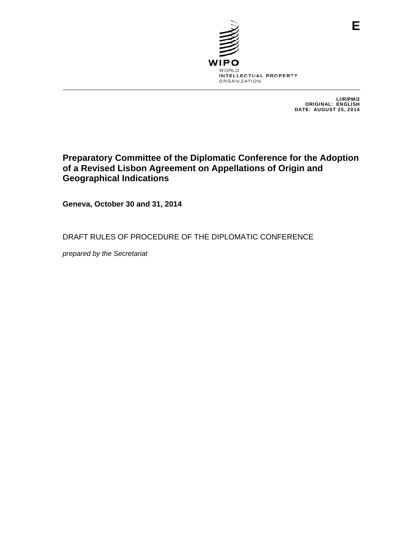

LI/R/PM/2 ORIGINAL: ENGLISH DATE: AUGUST 25, 2014

# **Preparatory Committee of the Diplomatic Conference for the Adoption of a Revised Lisbon Agreement on Appellations of Origin and Geographical Indications**

**Geneva, October 30 and 31, 2014** 

DRAFT RULES OF PROCEDURE OF THE DIPLOMATIC CONFERENCE

*prepared by the Secretariat*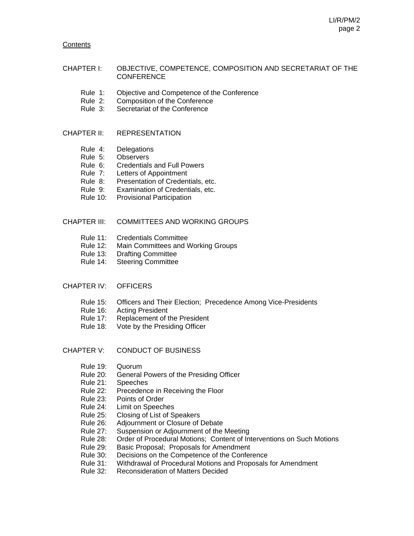#### **Contents**

#### CHAPTER I: OBJECTIVE, COMPETENCE, COMPOSITION AND SECRETARIAT OF THE **CONFERENCE**

- Rule 1: Objective and Competence of the Conference
- Rule 2: Composition of the Conference
- Rule 3: Secretariat of the Conference

#### CHAPTER II: REPRESENTATION

- Rule 4: Delegations
- Rule 5: Observers
- Rule 6: Credentials and Full Powers
- Rule 7: Letters of Appointment
- Rule 8: Presentation of Credentials, etc.
- Rule 9: Examination of Credentials, etc.
- Rule 10: Provisional Participation

#### CHAPTER III: COMMITTEES AND WORKING GROUPS

- Rule 11: Credentials Committee
- Rule 12: Main Committees and Working Groups
- Rule 13: Drafting Committee
- Rule 14: Steering Committee

#### CHAPTER IV: OFFICERS

- Rule 15: Officers and Their Election; Precedence Among Vice-Presidents
- Rule 16: Acting President
- Rule 17: Replacement of the President
- Rule 18: Vote by the Presiding Officer
- CHAPTER V: CONDUCT OF BUSINESS
	- Rule 19: Quorum
	- Rule 20: General Powers of the Presiding Officer
	- Rule 21: Speeches
	- Rule 22: Precedence in Receiving the Floor
	- Rule 23: Points of Order
	- Rule 24: Limit on Speeches
	- Rule 25: Closing of List of Speakers
	- Rule 26: Adjournment or Closure of Debate
	- Rule 27: Suspension or Adjournment of the Meeting
	- Rule 28: Order of Procedural Motions; Content of Interventions on Such Motions
	- Rule 29: Basic Proposal; Proposals for Amendment
	- Rule 30: Decisions on the Competence of the Conference
	- Rule 31: Withdrawal of Procedural Motions and Proposals for Amendment
	- Rule 32: Reconsideration of Matters Decided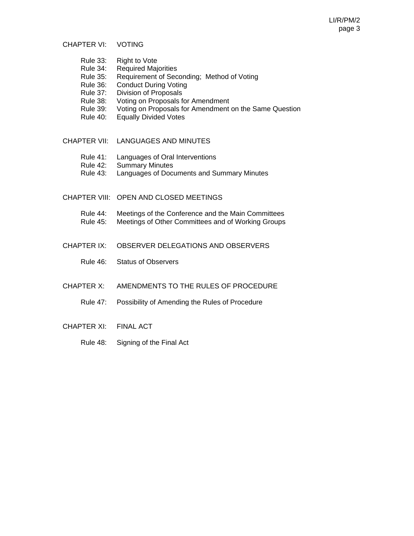CHAPTER VI: VOTING

- Rule 33: Right to Vote
- Rule 34: Required Majorities
- Rule 35: Requirement of Seconding; Method of Voting
- Rule 36: Conduct During Voting
- Rule 37: Division of Proposals
- Rule 38: Voting on Proposals for Amendment
- Rule 39: Voting on Proposals for Amendment on the Same Question<br>Rule 40: Equally Divided Votes
- **Equally Divided Votes**
- CHAPTER VII: LANGUAGES AND MINUTES
	- Rule 41: Languages of Oral Interventions
	- Rule 42: Summary Minutes
	- Rule 43: Languages of Documents and Summary Minutes
- CHAPTER VIII: OPEN AND CLOSED MEETINGS
	- Rule 44: Meetings of the Conference and the Main Committees
	- Rule 45: Meetings of Other Committees and of Working Groups
- CHAPTER IX: OBSERVER DELEGATIONS AND OBSERVERS
	- Rule 46: Status of Observers
- CHAPTER X: AMENDMENTS TO THE RULES OF PROCEDURE
	- Rule 47: Possibility of Amending the Rules of Procedure
- CHAPTER XI: FINAL ACT
	- Rule 48: Signing of the Final Act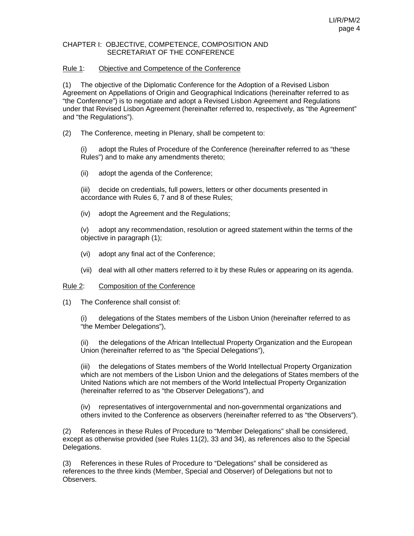#### CHAPTER I: OBJECTIVE, COMPETENCE, COMPOSITION AND SECRETARIAT OF THE CONFERENCE

#### Rule 1: Objective and Competence of the Conference

(1) The objective of the Diplomatic Conference for the Adoption of a Revised Lisbon Agreement on Appellations of Origin and Geographical Indications (hereinafter referred to as "the Conference") is to negotiate and adopt a Revised Lisbon Agreement and Regulations under that Revised Lisbon Agreement (hereinafter referred to, respectively, as "the Agreement" and "the Regulations").

(2) The Conference, meeting in Plenary, shall be competent to:

(i) adopt the Rules of Procedure of the Conference (hereinafter referred to as "these Rules") and to make any amendments thereto;

(ii) adopt the agenda of the Conference;

(iii) decide on credentials, full powers, letters or other documents presented in accordance with Rules 6, 7 and 8 of these Rules;

(iv) adopt the Agreement and the Regulations;

(v) adopt any recommendation, resolution or agreed statement within the terms of the objective in paragraph (1);

- (vi) adopt any final act of the Conference;
- (vii) deal with all other matters referred to it by these Rules or appearing on its agenda.

#### Rule 2: Composition of the Conference

(1) The Conference shall consist of:

(i) delegations of the States members of the Lisbon Union (hereinafter referred to as "the Member Delegations"),

the delegations of the African Intellectual Property Organization and the European Union (hereinafter referred to as "the Special Delegations"),

(iii) the delegations of States members of the World Intellectual Property Organization which are not members of the Lisbon Union and the delegations of States members of the United Nations which are not members of the World Intellectual Property Organization (hereinafter referred to as "the Observer Delegations"), and

 (iv) representatives of intergovernmental and non-governmental organizations and others invited to the Conference as observers (hereinafter referred to as "the Observers").

(2) References in these Rules of Procedure to "Member Delegations" shall be considered, except as otherwise provided (see Rules 11(2), 33 and 34), as references also to the Special Delegations.

(3) References in these Rules of Procedure to "Delegations" shall be considered as references to the three kinds (Member, Special and Observer) of Delegations but not to **Observers**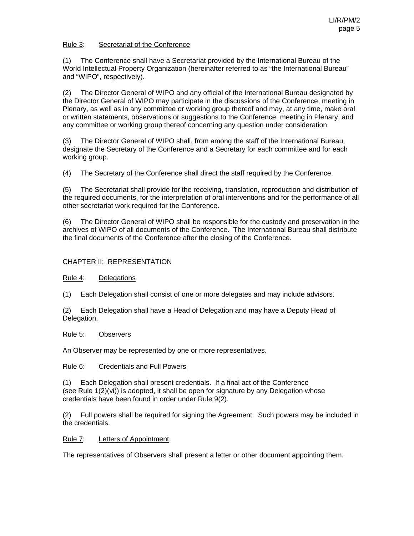# Rule 3: Secretariat of the Conference

(1) The Conference shall have a Secretariat provided by the International Bureau of the World Intellectual Property Organization (hereinafter referred to as "the International Bureau" and "WIPO", respectively).

(2) The Director General of WIPO and any official of the International Bureau designated by the Director General of WIPO may participate in the discussions of the Conference, meeting in Plenary, as well as in any committee or working group thereof and may, at any time, make oral or written statements, observations or suggestions to the Conference, meeting in Plenary, and any committee or working group thereof concerning any question under consideration.

(3) The Director General of WIPO shall, from among the staff of the International Bureau, designate the Secretary of the Conference and a Secretary for each committee and for each working group.

(4) The Secretary of the Conference shall direct the staff required by the Conference.

(5) The Secretariat shall provide for the receiving, translation, reproduction and distribution of the required documents, for the interpretation of oral interventions and for the performance of all other secretariat work required for the Conference.

(6) The Director General of WIPO shall be responsible for the custody and preservation in the archives of WIPO of all documents of the Conference. The International Bureau shall distribute the final documents of the Conference after the closing of the Conference.

# CHAPTER II: REPRESENTATION

# Rule 4: Delegations

(1) Each Delegation shall consist of one or more delegates and may include advisors.

(2) Each Delegation shall have a Head of Delegation and may have a Deputy Head of Delegation.

# Rule 5: Observers

An Observer may be represented by one or more representatives.

# Rule 6: Credentials and Full Powers

(1) Each Delegation shall present credentials. If a final act of the Conference (see Rule 1(2)(vi)) is adopted, it shall be open for signature by any Delegation whose credentials have been found in order under Rule 9(2).

(2) Full powers shall be required for signing the Agreement. Such powers may be included in the credentials.

# Rule 7: Letters of Appointment

The representatives of Observers shall present a letter or other document appointing them.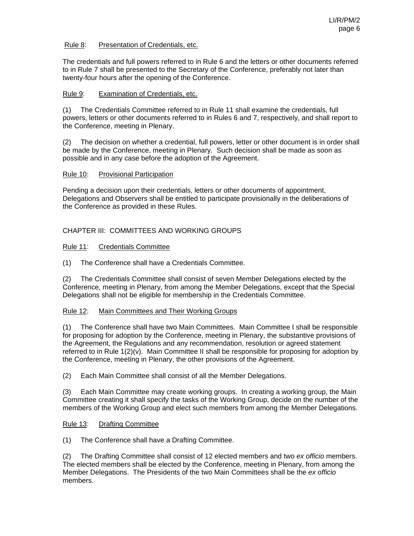# Rule 8: Presentation of Credentials, etc.

The credentials and full powers referred to in Rule 6 and the letters or other documents referred to in Rule 7 shall be presented to the Secretary of the Conference, preferably not later than twenty-four hours after the opening of the Conference.

# Rule 9: Examination of Credentials, etc.

(1) The Credentials Committee referred to in Rule 11 shall examine the credentials, full powers, letters or other documents referred to in Rules 6 and 7, respectively, and shall report to the Conference, meeting in Plenary.

(2) The decision on whether a credential, full powers, letter or other document is in order shall be made by the Conference, meeting in Plenary. Such decision shall be made as soon as possible and in any case before the adoption of the Agreement.

# Rule 10: Provisional Participation

Pending a decision upon their credentials, letters or other documents of appointment, Delegations and Observers shall be entitled to participate provisionally in the deliberations of the Conference as provided in these Rules.

# CHAPTER III: COMMITTEES AND WORKING GROUPS

#### Rule 11: Credentials Committee

(1) The Conference shall have a Credentials Committee.

(2) The Credentials Committee shall consist of seven Member Delegations elected by the Conference, meeting in Plenary, from among the Member Delegations, except that the Special Delegations shall not be eligible for membership in the Credentials Committee.

# Rule 12: Main Committees and Their Working Groups

(1) The Conference shall have two Main Committees. Main Committee I shall be responsible for proposing for adoption by the Conference, meeting in Plenary, the substantive provisions of the Agreement, the Regulations and any recommendation, resolution or agreed statement referred to in Rule 1(2)(v). Main Committee II shall be responsible for proposing for adoption by the Conference, meeting in Plenary, the other provisions of the Agreement.

(2) Each Main Committee shall consist of all the Member Delegations.

(3) Each Main Committee may create working groups. In creating a working group, the Main Committee creating it shall specify the tasks of the Working Group, decide on the number of the members of the Working Group and elect such members from among the Member Delegations.

# Rule 13: Drafting Committee

(1) The Conference shall have a Drafting Committee.

(2) The Drafting Committee shall consist of 12 elected members and two *ex officio* members. The elected members shall be elected by the Conference, meeting in Plenary, from among the Member Delegations. The Presidents of the two Main Committees shall be the *ex officio* members.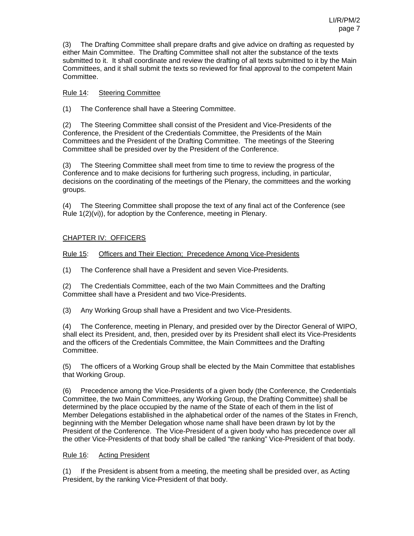(3) The Drafting Committee shall prepare drafts and give advice on drafting as requested by either Main Committee. The Drafting Committee shall not alter the substance of the texts submitted to it. It shall coordinate and review the drafting of all texts submitted to it by the Main Committees, and it shall submit the texts so reviewed for final approval to the competent Main Committee.

# Rule 14: Steering Committee

(1) The Conference shall have a Steering Committee.

(2) The Steering Committee shall consist of the President and Vice-Presidents of the Conference, the President of the Credentials Committee, the Presidents of the Main Committees and the President of the Drafting Committee. The meetings of the Steering Committee shall be presided over by the President of the Conference.

(3) The Steering Committee shall meet from time to time to review the progress of the Conference and to make decisions for furthering such progress, including, in particular, decisions on the coordinating of the meetings of the Plenary, the committees and the working groups.

(4) The Steering Committee shall propose the text of any final act of the Conference (see Rule 1(2)(vi)), for adoption by the Conference, meeting in Plenary.

# CHAPTER IV: OFFICERS

Rule 15: Officers and Their Election; Precedence Among Vice-Presidents

(1) The Conference shall have a President and seven Vice-Presidents.

(2) The Credentials Committee, each of the two Main Committees and the Drafting Committee shall have a President and two Vice-Presidents.

(3) Any Working Group shall have a President and two Vice-Presidents.

(4) The Conference, meeting in Plenary, and presided over by the Director General of WIPO, shall elect its President, and, then, presided over by its President shall elect its Vice-Presidents and the officers of the Credentials Committee, the Main Committees and the Drafting Committee.

(5) The officers of a Working Group shall be elected by the Main Committee that establishes that Working Group.

(6) Precedence among the Vice-Presidents of a given body (the Conference, the Credentials Committee, the two Main Committees, any Working Group, the Drafting Committee) shall be determined by the place occupied by the name of the State of each of them in the list of Member Delegations established in the alphabetical order of the names of the States in French, beginning with the Member Delegation whose name shall have been drawn by lot by the President of the Conference. The Vice-President of a given body who has precedence over all the other Vice-Presidents of that body shall be called "the ranking" Vice-President of that body.

# Rule 16: Acting President

(1) If the President is absent from a meeting, the meeting shall be presided over, as Acting President, by the ranking Vice-President of that body.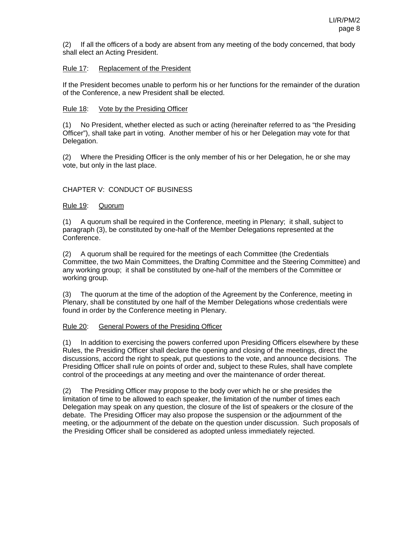(2) If all the officers of a body are absent from any meeting of the body concerned, that body shall elect an Acting President.

### Rule 17: Replacement of the President

If the President becomes unable to perform his or her functions for the remainder of the duration of the Conference, a new President shall be elected.

#### Rule 18: Vote by the Presiding Officer

(1) No President, whether elected as such or acting (hereinafter referred to as "the Presiding Officer"), shall take part in voting. Another member of his or her Delegation may vote for that Delegation.

(2) Where the Presiding Officer is the only member of his or her Delegation, he or she may vote, but only in the last place.

# CHAPTER V: CONDUCT OF BUSINESS

#### Rule 19: Quorum

(1) A quorum shall be required in the Conference, meeting in Plenary; it shall, subject to paragraph (3), be constituted by one-half of the Member Delegations represented at the Conference.

(2) A quorum shall be required for the meetings of each Committee (the Credentials Committee, the two Main Committees, the Drafting Committee and the Steering Committee) and any working group; it shall be constituted by one-half of the members of the Committee or working group.

(3) The quorum at the time of the adoption of the Agreement by the Conference, meeting in Plenary, shall be constituted by one half of the Member Delegations whose credentials were found in order by the Conference meeting in Plenary.

#### Rule 20: General Powers of the Presiding Officer

(1) In addition to exercising the powers conferred upon Presiding Officers elsewhere by these Rules, the Presiding Officer shall declare the opening and closing of the meetings, direct the discussions, accord the right to speak, put questions to the vote, and announce decisions. The Presiding Officer shall rule on points of order and, subject to these Rules, shall have complete control of the proceedings at any meeting and over the maintenance of order thereat.

(2) The Presiding Officer may propose to the body over which he or she presides the limitation of time to be allowed to each speaker, the limitation of the number of times each Delegation may speak on any question, the closure of the list of speakers or the closure of the debate. The Presiding Officer may also propose the suspension or the adjournment of the meeting, or the adjournment of the debate on the question under discussion. Such proposals of the Presiding Officer shall be considered as adopted unless immediately rejected.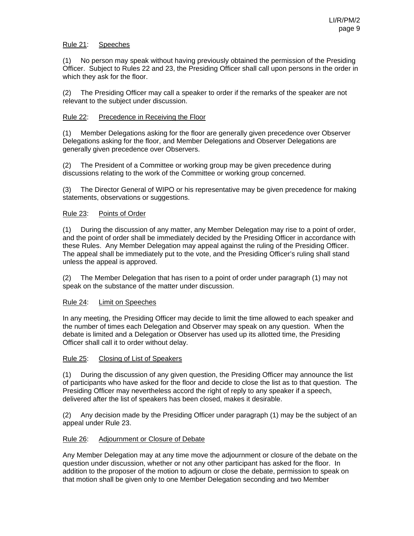# Rule 21: Speeches

(1) No person may speak without having previously obtained the permission of the Presiding Officer. Subject to Rules 22 and 23, the Presiding Officer shall call upon persons in the order in which they ask for the floor.

(2) The Presiding Officer may call a speaker to order if the remarks of the speaker are not relevant to the subject under discussion.

# Rule 22: Precedence in Receiving the Floor

(1) Member Delegations asking for the floor are generally given precedence over Observer Delegations asking for the floor, and Member Delegations and Observer Delegations are generally given precedence over Observers.

(2) The President of a Committee or working group may be given precedence during discussions relating to the work of the Committee or working group concerned.

(3) The Director General of WIPO or his representative may be given precedence for making statements, observations or suggestions.

# Rule 23: Points of Order

(1) During the discussion of any matter, any Member Delegation may rise to a point of order, and the point of order shall be immediately decided by the Presiding Officer in accordance with these Rules. Any Member Delegation may appeal against the ruling of the Presiding Officer. The appeal shall be immediately put to the vote, and the Presiding Officer's ruling shall stand unless the appeal is approved.

(2) The Member Delegation that has risen to a point of order under paragraph (1) may not speak on the substance of the matter under discussion.

# Rule 24: Limit on Speeches

In any meeting, the Presiding Officer may decide to limit the time allowed to each speaker and the number of times each Delegation and Observer may speak on any question. When the debate is limited and a Delegation or Observer has used up its allotted time, the Presiding Officer shall call it to order without delay.

# Rule 25: Closing of List of Speakers

(1) During the discussion of any given question, the Presiding Officer may announce the list of participants who have asked for the floor and decide to close the list as to that question. The Presiding Officer may nevertheless accord the right of reply to any speaker if a speech, delivered after the list of speakers has been closed, makes it desirable.

(2) Any decision made by the Presiding Officer under paragraph (1) may be the subject of an appeal under Rule 23.

# Rule 26: Adjournment or Closure of Debate

Any Member Delegation may at any time move the adjournment or closure of the debate on the question under discussion, whether or not any other participant has asked for the floor. In addition to the proposer of the motion to adjourn or close the debate, permission to speak on that motion shall be given only to one Member Delegation seconding and two Member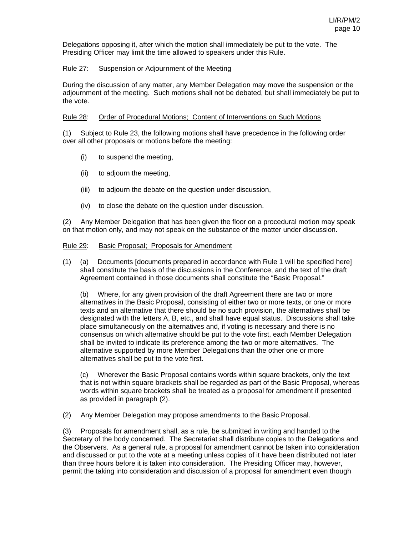Delegations opposing it, after which the motion shall immediately be put to the vote. The Presiding Officer may limit the time allowed to speakers under this Rule.

### Rule 27: Suspension or Adjournment of the Meeting

During the discussion of any matter, any Member Delegation may move the suspension or the adjournment of the meeting. Such motions shall not be debated, but shall immediately be put to the vote.

#### Rule 28: Order of Procedural Motions; Content of Interventions on Such Motions

(1) Subject to Rule 23, the following motions shall have precedence in the following order over all other proposals or motions before the meeting:

- (i) to suspend the meeting,
- (ii) to adjourn the meeting,
- (iii) to adjourn the debate on the question under discussion,
- (iv) to close the debate on the question under discussion.

(2) Any Member Delegation that has been given the floor on a procedural motion may speak on that motion only, and may not speak on the substance of the matter under discussion.

#### Rule 29: Basic Proposal; Proposals for Amendment

(1) (a) Documents [documents prepared in accordance with Rule 1 will be specified here] shall constitute the basis of the discussions in the Conference, and the text of the draft Agreement contained in those documents shall constitute the "Basic Proposal."

(b) Where, for any given provision of the draft Agreement there are two or more alternatives in the Basic Proposal, consisting of either two or more texts, or one or more texts and an alternative that there should be no such provision, the alternatives shall be designated with the letters A, B, etc., and shall have equal status. Discussions shall take place simultaneously on the alternatives and, if voting is necessary and there is no consensus on which alternative should be put to the vote first, each Member Delegation shall be invited to indicate its preference among the two or more alternatives. The alternative supported by more Member Delegations than the other one or more alternatives shall be put to the vote first.

(c) Wherever the Basic Proposal contains words within square brackets, only the text that is not within square brackets shall be regarded as part of the Basic Proposal, whereas words within square brackets shall be treated as a proposal for amendment if presented as provided in paragraph (2).

(2) Any Member Delegation may propose amendments to the Basic Proposal.

(3) Proposals for amendment shall, as a rule, be submitted in writing and handed to the Secretary of the body concerned. The Secretariat shall distribute copies to the Delegations and the Observers. As a general rule, a proposal for amendment cannot be taken into consideration and discussed or put to the vote at a meeting unless copies of it have been distributed not later than three hours before it is taken into consideration. The Presiding Officer may, however, permit the taking into consideration and discussion of a proposal for amendment even though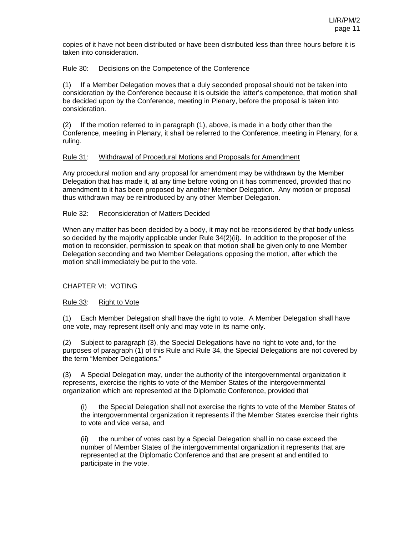copies of it have not been distributed or have been distributed less than three hours before it is taken into consideration.

# Rule 30: Decisions on the Competence of the Conference

(1) If a Member Delegation moves that a duly seconded proposal should not be taken into consideration by the Conference because it is outside the latter's competence, that motion shall be decided upon by the Conference, meeting in Plenary, before the proposal is taken into consideration.

(2) If the motion referred to in paragraph (1), above, is made in a body other than the Conference, meeting in Plenary, it shall be referred to the Conference, meeting in Plenary, for a ruling.

#### Rule 31: Withdrawal of Procedural Motions and Proposals for Amendment

Any procedural motion and any proposal for amendment may be withdrawn by the Member Delegation that has made it, at any time before voting on it has commenced, provided that no amendment to it has been proposed by another Member Delegation. Any motion or proposal thus withdrawn may be reintroduced by any other Member Delegation.

#### Rule 32: Reconsideration of Matters Decided

When any matter has been decided by a body, it may not be reconsidered by that body unless so decided by the majority applicable under Rule 34(2)(ii). In addition to the proposer of the motion to reconsider, permission to speak on that motion shall be given only to one Member Delegation seconding and two Member Delegations opposing the motion, after which the motion shall immediately be put to the vote.

# CHAPTER VI: VOTING

# Rule 33: Right to Vote

(1) Each Member Delegation shall have the right to vote. A Member Delegation shall have one vote, may represent itself only and may vote in its name only.

(2) Subject to paragraph (3), the Special Delegations have no right to vote and, for the purposes of paragraph (1) of this Rule and Rule 34, the Special Delegations are not covered by the term "Member Delegations."

(3) A Special Delegation may, under the authority of the intergovernmental organization it represents, exercise the rights to vote of the Member States of the intergovernmental organization which are represented at the Diplomatic Conference, provided that

the Special Delegation shall not exercise the rights to vote of the Member States of the intergovernmental organization it represents if the Member States exercise their rights to vote and vice versa, and

the number of votes cast by a Special Delegation shall in no case exceed the number of Member States of the intergovernmental organization it represents that are represented at the Diplomatic Conference and that are present at and entitled to participate in the vote.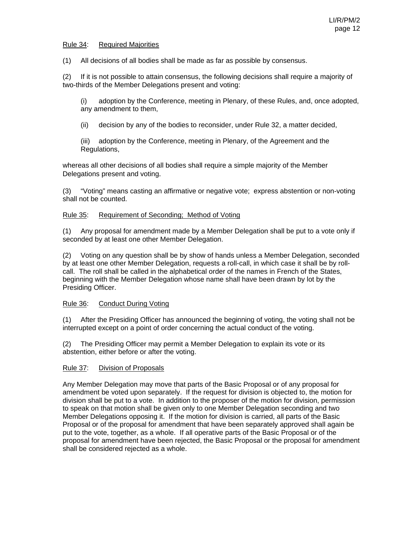#### Rule 34: Required Majorities

(1) All decisions of all bodies shall be made as far as possible by consensus.

(2) If it is not possible to attain consensus, the following decisions shall require a majority of two-thirds of the Member Delegations present and voting:

(i) adoption by the Conference, meeting in Plenary, of these Rules, and, once adopted, any amendment to them,

(ii) decision by any of the bodies to reconsider, under Rule 32, a matter decided,

(iii) adoption by the Conference, meeting in Plenary, of the Agreement and the Regulations,

whereas all other decisions of all bodies shall require a simple majority of the Member Delegations present and voting.

(3) "Voting" means casting an affirmative or negative vote; express abstention or non-voting shall not be counted.

#### Rule 35: Requirement of Seconding; Method of Voting

(1) Any proposal for amendment made by a Member Delegation shall be put to a vote only if seconded by at least one other Member Delegation.

(2) Voting on any question shall be by show of hands unless a Member Delegation, seconded by at least one other Member Delegation, requests a roll-call, in which case it shall be by rollcall. The roll shall be called in the alphabetical order of the names in French of the States, beginning with the Member Delegation whose name shall have been drawn by lot by the Presiding Officer.

# Rule 36: Conduct During Voting

(1) After the Presiding Officer has announced the beginning of voting, the voting shall not be interrupted except on a point of order concerning the actual conduct of the voting.

(2) The Presiding Officer may permit a Member Delegation to explain its vote or its abstention, either before or after the voting.

#### Rule 37: Division of Proposals

Any Member Delegation may move that parts of the Basic Proposal or of any proposal for amendment be voted upon separately. If the request for division is objected to, the motion for division shall be put to a vote. In addition to the proposer of the motion for division, permission to speak on that motion shall be given only to one Member Delegation seconding and two Member Delegations opposing it. If the motion for division is carried, all parts of the Basic Proposal or of the proposal for amendment that have been separately approved shall again be put to the vote, together, as a whole. If all operative parts of the Basic Proposal or of the proposal for amendment have been rejected, the Basic Proposal or the proposal for amendment shall be considered rejected as a whole.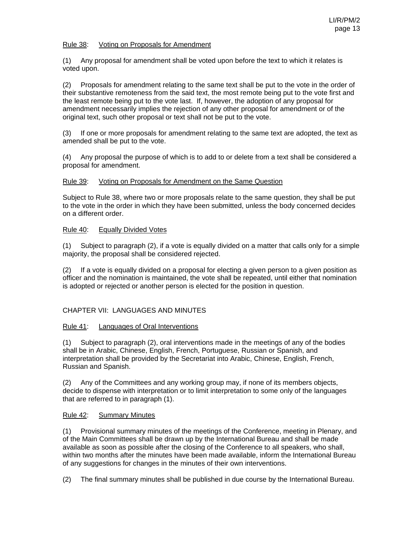### Rule 38: Voting on Proposals for Amendment

(1) Any proposal for amendment shall be voted upon before the text to which it relates is voted upon.

(2) Proposals for amendment relating to the same text shall be put to the vote in the order of their substantive remoteness from the said text, the most remote being put to the vote first and the least remote being put to the vote last. If, however, the adoption of any proposal for amendment necessarily implies the rejection of any other proposal for amendment or of the original text, such other proposal or text shall not be put to the vote.

(3) If one or more proposals for amendment relating to the same text are adopted, the text as amended shall be put to the vote.

(4) Any proposal the purpose of which is to add to or delete from a text shall be considered a proposal for amendment.

#### Rule 39: Voting on Proposals for Amendment on the Same Question

Subject to Rule 38, where two or more proposals relate to the same question, they shall be put to the vote in the order in which they have been submitted, unless the body concerned decides on a different order.

#### Rule 40: Equally Divided Votes

(1) Subject to paragraph (2), if a vote is equally divided on a matter that calls only for a simple majority, the proposal shall be considered rejected.

(2) If a vote is equally divided on a proposal for electing a given person to a given position as officer and the nomination is maintained, the vote shall be repeated, until either that nomination is adopted or rejected or another person is elected for the position in question.

# CHAPTER VII: LANGUAGES AND MINUTES

#### Rule 41: Languages of Oral Interventions

(1) Subject to paragraph (2), oral interventions made in the meetings of any of the bodies shall be in Arabic, Chinese, English, French, Portuguese, Russian or Spanish, and interpretation shall be provided by the Secretariat into Arabic, Chinese, English, French, Russian and Spanish.

(2) Any of the Committees and any working group may, if none of its members objects, decide to dispense with interpretation or to limit interpretation to some only of the languages that are referred to in paragraph (1).

# Rule 42: Summary Minutes

(1) Provisional summary minutes of the meetings of the Conference, meeting in Plenary, and of the Main Committees shall be drawn up by the International Bureau and shall be made available as soon as possible after the closing of the Conference to all speakers, who shall, within two months after the minutes have been made available, inform the International Bureau of any suggestions for changes in the minutes of their own interventions.

(2) The final summary minutes shall be published in due course by the International Bureau.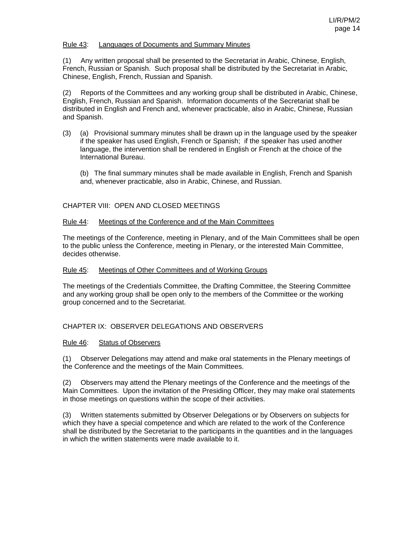#### Rule 43: Languages of Documents and Summary Minutes

(1) Any written proposal shall be presented to the Secretariat in Arabic, Chinese, English, French, Russian or Spanish. Such proposal shall be distributed by the Secretariat in Arabic, Chinese, English, French, Russian and Spanish.

(2) Reports of the Committees and any working group shall be distributed in Arabic, Chinese, English, French, Russian and Spanish. Information documents of the Secretariat shall be distributed in English and French and, whenever practicable, also in Arabic, Chinese, Russian and Spanish.

- (3) (a) Provisional summary minutes shall be drawn up in the language used by the speaker if the speaker has used English, French or Spanish; if the speaker has used another language, the intervention shall be rendered in English or French at the choice of the International Bureau.
	- (b) The final summary minutes shall be made available in English, French and Spanish and, whenever practicable, also in Arabic, Chinese, and Russian.

#### CHAPTER VIII: OPEN AND CLOSED MEETINGS

#### Rule 44: Meetings of the Conference and of the Main Committees

The meetings of the Conference, meeting in Plenary, and of the Main Committees shall be open to the public unless the Conference, meeting in Plenary, or the interested Main Committee, decides otherwise.

#### Rule 45: Meetings of Other Committees and of Working Groups

The meetings of the Credentials Committee, the Drafting Committee, the Steering Committee and any working group shall be open only to the members of the Committee or the working group concerned and to the Secretariat.

#### CHAPTER IX: OBSERVER DELEGATIONS AND OBSERVERS

#### Rule 46: Status of Observers

(1) Observer Delegations may attend and make oral statements in the Plenary meetings of the Conference and the meetings of the Main Committees.

(2) Observers may attend the Plenary meetings of the Conference and the meetings of the Main Committees. Upon the invitation of the Presiding Officer, they may make oral statements in those meetings on questions within the scope of their activities.

(3) Written statements submitted by Observer Delegations or by Observers on subjects for which they have a special competence and which are related to the work of the Conference shall be distributed by the Secretariat to the participants in the quantities and in the languages in which the written statements were made available to it.